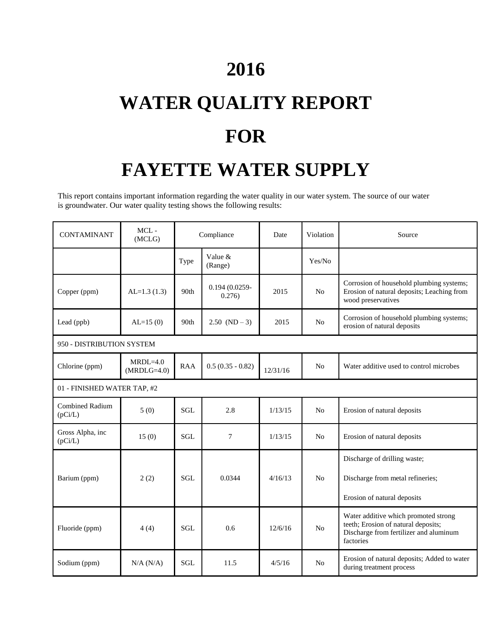## **2016**

# **WATER QUALITY REPORT FOR FAYETTE WATER SUPPLY**

This report contains important information regarding the water quality in our water system. The source of our water is groundwater. Our water quality testing shows the following results:

| <b>CONTAMINANT</b>                | MCL-<br>(MCLG)              | Compliance |                           | Date     | Violation      | Source                                                                                                                             |  |  |  |
|-----------------------------------|-----------------------------|------------|---------------------------|----------|----------------|------------------------------------------------------------------------------------------------------------------------------------|--|--|--|
|                                   |                             | Type       | Value &<br>(Range)        |          | Yes/No         |                                                                                                                                    |  |  |  |
| Copper (ppm)                      | $AL=1.3(1.3)$               | 90th       | $0.194(0.0259 -$<br>0.276 | 2015     | N <sub>o</sub> | Corrosion of household plumbing systems;<br>Erosion of natural deposits; Leaching from<br>wood preservatives                       |  |  |  |
| Lead (ppb)                        | $AL=15(0)$                  | 90th       | $2.50 (ND - 3)$           | 2015     | No             | Corrosion of household plumbing systems;<br>erosion of natural deposits                                                            |  |  |  |
| 950 - DISTRIBUTION SYSTEM         |                             |            |                           |          |                |                                                                                                                                    |  |  |  |
| Chlorine (ppm)                    | $MRDL=4.0$<br>$(MRDLG=4.0)$ | <b>RAA</b> | $0.5(0.35 - 0.82)$        | 12/31/16 | N <sub>o</sub> | Water additive used to control microbes                                                                                            |  |  |  |
| 01 - FINISHED WATER TAP, #2       |                             |            |                           |          |                |                                                                                                                                    |  |  |  |
| <b>Combined Radium</b><br>(pCi/L) | 5(0)                        | <b>SGL</b> | 2.8                       | 1/13/15  | No             | Erosion of natural deposits                                                                                                        |  |  |  |
| Gross Alpha, inc<br>(pCi/L)       | 15(0)                       | <b>SGL</b> | $\overline{7}$            | 1/13/15  | N <sub>o</sub> | Erosion of natural deposits                                                                                                        |  |  |  |
| Barium (ppm)                      | 2(2)                        | <b>SGL</b> | 0.0344                    | 4/16/13  | No             | Discharge of drilling waste;<br>Discharge from metal refineries;<br>Erosion of natural deposits                                    |  |  |  |
| Fluoride (ppm)                    | 4(4)                        | <b>SGL</b> | 0.6                       | 12/6/16  | N <sub>o</sub> | Water additive which promoted strong<br>teeth; Erosion of natural deposits;<br>Discharge from fertilizer and aluminum<br>factories |  |  |  |
| Sodium (ppm)                      | N/A (N/A)                   | SGL        | 11.5                      | 4/5/16   | N <sub>o</sub> | Erosion of natural deposits; Added to water<br>during treatment process                                                            |  |  |  |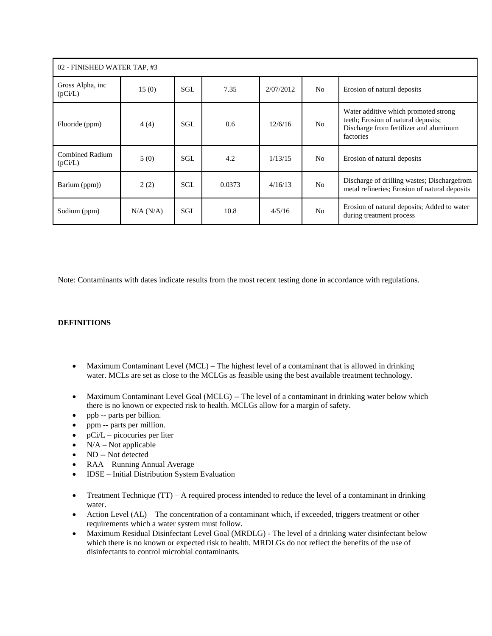| 02 - FINISHED WATER TAP, #3       |           |     |        |           |                |                                                                                                                                    |  |  |  |  |
|-----------------------------------|-----------|-----|--------|-----------|----------------|------------------------------------------------------------------------------------------------------------------------------------|--|--|--|--|
| Gross Alpha, inc<br>(pCi/L)       | 15(0)     | SGL | 7.35   | 2/07/2012 | N <sub>0</sub> | Erosion of natural deposits                                                                                                        |  |  |  |  |
| Fluoride (ppm)                    | 4(4)      | SGL | 0.6    | 12/6/16   | N <sub>0</sub> | Water additive which promoted strong<br>teeth; Erosion of natural deposits;<br>Discharge from fertilizer and aluminum<br>factories |  |  |  |  |
| <b>Combined Radium</b><br>(pCi/L) | 5(0)      | SGL | 4.2    | 1/13/15   | N <sub>0</sub> | Erosion of natural deposits                                                                                                        |  |  |  |  |
| Barium (ppm))                     | 2(2)      | SGL | 0.0373 | 4/16/13   | N <sub>0</sub> | Discharge of drilling wastes; Dischargefrom<br>metal refineries; Erosion of natural deposits                                       |  |  |  |  |
| Sodium (ppm)                      | N/A (N/A) | SGL | 10.8   | 4/5/16    | N <sub>0</sub> | Erosion of natural deposits; Added to water<br>during treatment process                                                            |  |  |  |  |

Note: Contaminants with dates indicate results from the most recent testing done in accordance with regulations.

#### **DEFINITIONS**

- Maximum Contaminant Level (MCL) The highest level of a contaminant that is allowed in drinking water. MCLs are set as close to the MCLGs as feasible using the best available treatment technology.
- Maximum Contaminant Level Goal (MCLG) -- The level of a contaminant in drinking water below which there is no known or expected risk to health. MCLGs allow for a margin of safety.
- ppb -- parts per billion.
- ppm -- parts per million.
- $\bullet$  pCi/L picocuries per liter
- $\bullet$  N/A Not applicable
- ND -- Not detected
- RAA Running Annual Average
- IDSE Initial Distribution System Evaluation
- Treatment Technique (TT) A required process intended to reduce the level of a contaminant in drinking water.
- Action Level (AL) The concentration of a contaminant which, if exceeded, triggers treatment or other requirements which a water system must follow.
- Maximum Residual Disinfectant Level Goal (MRDLG) The level of a drinking water disinfectant below which there is no known or expected risk to health. MRDLGs do not reflect the benefits of the use of disinfectants to control microbial contaminants.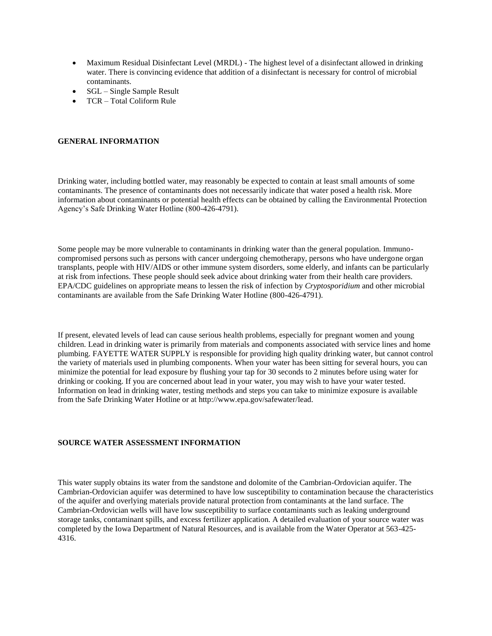- Maximum Residual Disinfectant Level (MRDL) The highest level of a disinfectant allowed in drinking water. There is convincing evidence that addition of a disinfectant is necessary for control of microbial contaminants.
- $\bullet$  SGL Single Sample Result
- TCR Total Coliform Rule

#### **GENERAL INFORMATION**

Drinking water, including bottled water, may reasonably be expected to contain at least small amounts of some contaminants. The presence of contaminants does not necessarily indicate that water posed a health risk. More information about contaminants or potential health effects can be obtained by calling the Environmental Protection Agency's Safe Drinking Water Hotline (800-426-4791).

Some people may be more vulnerable to contaminants in drinking water than the general population. Immunocompromised persons such as persons with cancer undergoing chemotherapy, persons who have undergone organ transplants, people with HIV/AIDS or other immune system disorders, some elderly, and infants can be particularly at risk from infections. These people should seek advice about drinking water from their health care providers. EPA/CDC guidelines on appropriate means to lessen the risk of infection by *Cryptosporidium* and other microbial contaminants are available from the Safe Drinking Water Hotline (800-426-4791).

If present, elevated levels of lead can cause serious health problems, especially for pregnant women and young children. Lead in drinking water is primarily from materials and components associated with service lines and home plumbing. FAYETTE WATER SUPPLY is responsible for providing high quality drinking water, but cannot control the variety of materials used in plumbing components. When your water has been sitting for several hours, you can minimize the potential for lead exposure by flushing your tap for 30 seconds to 2 minutes before using water for drinking or cooking. If you are concerned about lead in your water, you may wish to have your water tested. Information on lead in drinking water, testing methods and steps you can take to minimize exposure is available from the Safe Drinking Water Hotline or at http://www.epa.gov/safewater/lead.

#### **SOURCE WATER ASSESSMENT INFORMATION**

This water supply obtains its water from the sandstone and dolomite of the Cambrian-Ordovician aquifer. The Cambrian-Ordovician aquifer was determined to have low susceptibility to contamination because the characteristics of the aquifer and overlying materials provide natural protection from contaminants at the land surface. The Cambrian-Ordovician wells will have low susceptibility to surface contaminants such as leaking underground storage tanks, contaminant spills, and excess fertilizer application. A detailed evaluation of your source water was completed by the Iowa Department of Natural Resources, and is available from the Water Operator at 563-425- 4316.